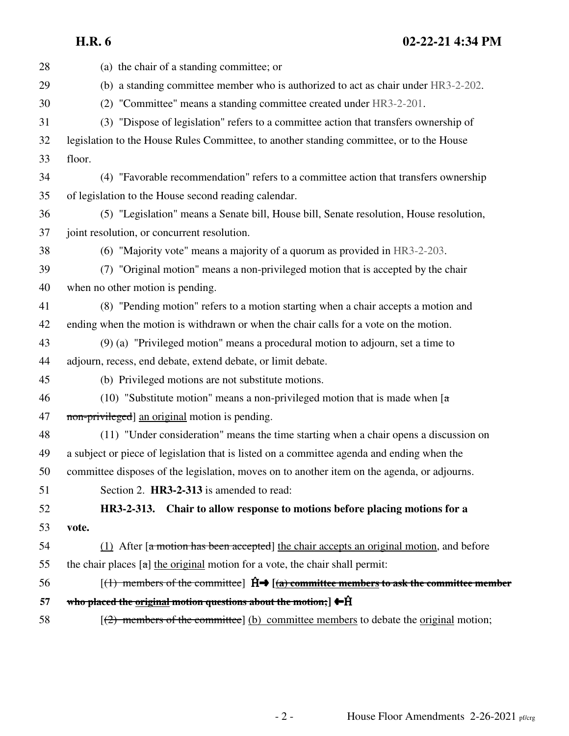**H.R. 6 02-22-21 4:34 PM**

28 (a) the chair of a standing committee; or 29 (b) a standing committee member who is authorized to act as chair under HR3-2-202. 30 (2) "Committee" means a standing committee created under HR3-2-201. 31 (3) "Dispose of legislation" refers to a committee action that transfers ownership of 32 legislation to the House Rules Committee, to another standing committee, or to the House 33 floor. 34 (4) "Favorable recommendation" refers to a committee action that transfers ownership 35 of legislation to the House second reading calendar. 36 (5) "Legislation" means a Senate bill, House bill, Senate resolution, House resolution, 37 joint resolution, or concurrent resolution. 38 (6) "Majority vote" means a majority of a quorum as provided in HR3-2-203. 39 (7) "Original motion" means a non-privileged motion that is accepted by the chair 40 when no other motion is pending. 41 (8) "Pending motion" refers to a motion starting when a chair accepts a motion and 42 ending when the motion is withdrawn or when the chair calls for a vote on the motion. 43 (9) (a) "Privileged motion" means a procedural motion to adjourn, set a time to 44 adjourn, recess, end debate, extend debate, or limit debate. 45 (b) Privileged motions are not substitute motions. 46 (10) "Substitute motion" means a non-privileged motion that is made when  $\lceil \frac{a}{\cdots} \rceil$ 47 non-privileged] an original motion is pending. 48 (11) "Under consideration" means the time starting when a chair opens a discussion on 49 a subject or piece of legislation that is listed on a committee agenda and ending when the 50 committee disposes of the legislation, moves on to another item on the agenda, or adjourns. 51 Section 2. **HR3-2-313** is amended to read: 52 **HR3-2-313. Chair to allow response to motions before placing motions for a** 53 **vote.** 54 (1) After  $\left[ \frac{a \text{ motion has been accepted}}{b \text{ at the } c} \right]$  the chair accepts an original motion, and before 55 the chair places  $\lceil \frac{a \rceil}{b} \rceil$  the original motion for a vote, the chair shall permit: 56  $[(1)$  members of the committee]  $\hat{H} \rightarrow [(a)$  committee members to ask the committee member 57 who placed the original motion questions about the motion;  $\left[ \right] \leftarrow \hat{H}$ 58  $\left[\frac{1}{2}\right]$  members of the committee] (b) committee members to debate the original motion;